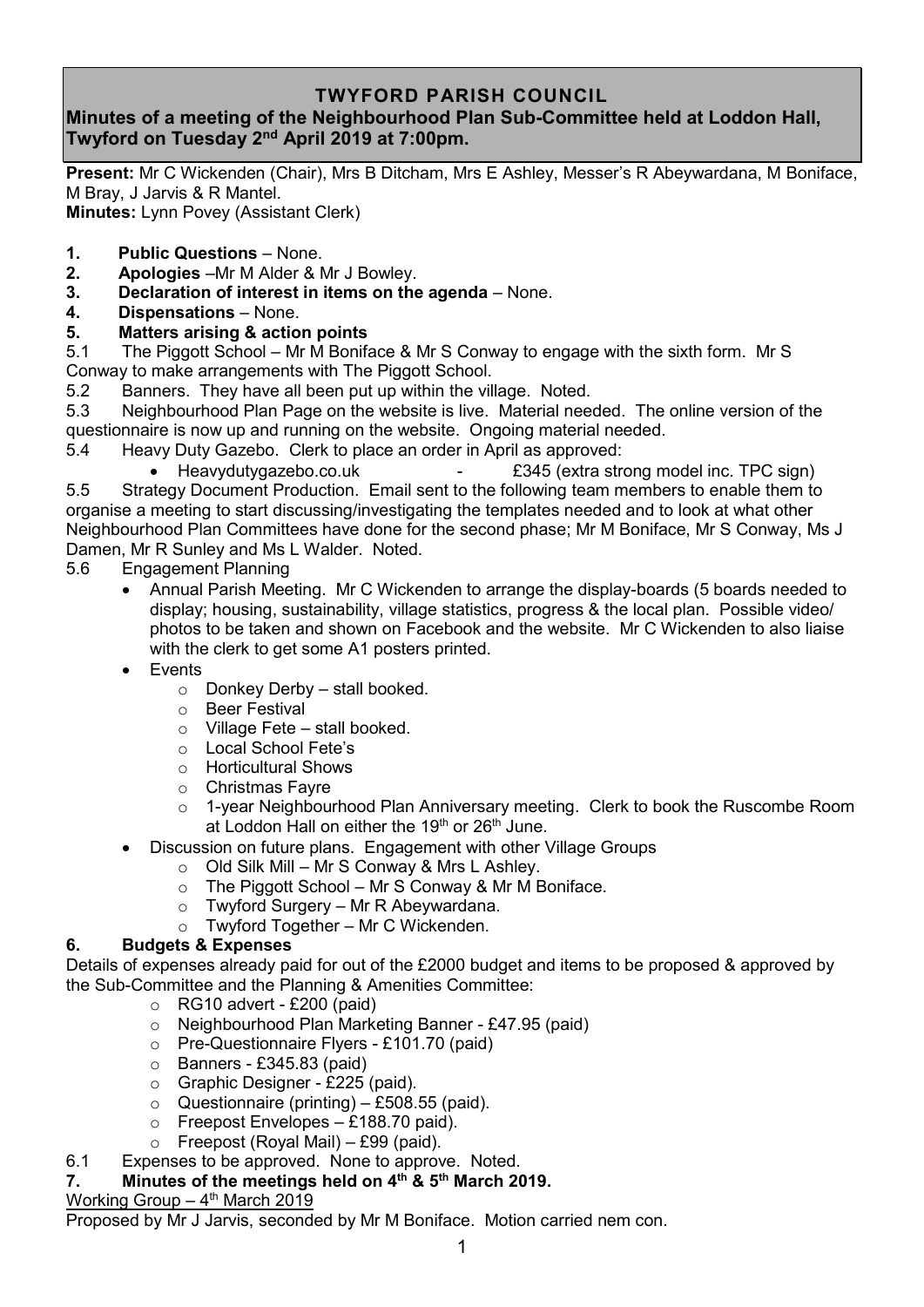## **TWYFORD PARISH COUNCIL**

## **Minutes of a meeting of the Neighbourhood Plan Sub-Committee held at Loddon Hall, Twyford on Tuesday 2 nd April 2019 at 7:00pm.**

**Present:** Mr C Wickenden (Chair), Mrs B Ditcham, Mrs E Ashley, Messer's R Abeywardana, M Boniface, M Bray, J Jarvis & R Mantel.

**Minutes:** Lynn Povey (Assistant Clerk)

- **1. Public Questions**  None.
- **2. Apologies** –Mr M Alder & Mr J Bowley.
- **3. Declaration of interest in items on the agenda**  None.
- **4. Dispensations**  None.

## **5. Matters arising & action points**

5.1 The Piggott School – Mr M Boniface & Mr S Conway to engage with the sixth form. Mr S Conway to make arrangements with The Piggott School.

5.2 Banners. They have all been put up within the village. Noted.

5.3 Neighbourhood Plan Page on the website is live. Material needed. The online version of the questionnaire is now up and running on the website. Ongoing material needed.

5.4 Heavy Duty Gazebo. Clerk to place an order in April as approved:

• Heavydutygazebo.co.uk - £345 (extra strong model inc. TPC sign) 5.5 Strategy Document Production. Email sent to the following team members to enable them to organise a meeting to start discussing/investigating the templates needed and to look at what other Neighbourhood Plan Committees have done for the second phase; Mr M Boniface, Mr S Conway, Ms J Damen, Mr R Sunley and Ms L Walder. Noted.

5.6 Engagement Planning

- Annual Parish Meeting. Mr C Wickenden to arrange the display-boards (5 boards needed to display; housing, sustainability, village statistics, progress & the local plan. Possible video/ photos to be taken and shown on Facebook and the website. Mr C Wickenden to also liaise with the clerk to get some A1 posters printed.
- Events
	- o Donkey Derby stall booked.
	- o Beer Festival
	- o Village Fete stall booked.
	- o Local School Fete's
	- o Horticultural Shows
	- o Christmas Fayre
	- o 1-year Neighbourhood Plan Anniversary meeting. Clerk to book the Ruscombe Room at Loddon Hall on either the 19<sup>th</sup> or  $26<sup>th</sup>$  June.
- Discussion on future plans. Engagement with other Village Groups
	- $\circ$  Old Silk Mill Mr S Conway & Mrs L Ashley.
	- $\circ$  The Piggott School Mr S Conway & Mr M Boniface.
	- o Twyford Surgery Mr R Abeywardana.
	- o Twyford Together Mr C Wickenden.

## **6. Budgets & Expenses**

Details of expenses already paid for out of the £2000 budget and items to be proposed & approved by the Sub-Committee and the Planning & Amenities Committee:

- $\circ$  RG10 advert £200 (paid)
- o Neighbourhood Plan Marketing Banner £47.95 (paid)
- o Pre-Questionnaire Flyers £101.70 (paid)
- $\circ$  Banners £345.83 (paid)
- o Graphic Designer £225 (paid).
- $\circ$  Questionnaire (printing) £508.55 (paid).
- $\circ$  Freepost Envelopes £188.70 paid).
- $\circ$  Freepost (Royal Mail) £99 (paid).
- 6.1 Expenses to be approved. None to approve. Noted.

# **7. Minutes of the meetings held on 4 th & 5 th March 2019.**

# <u>Working Group – 4<sup>th</sup> March 2019</u>

Proposed by Mr J Jarvis, seconded by Mr M Boniface. Motion carried nem con.